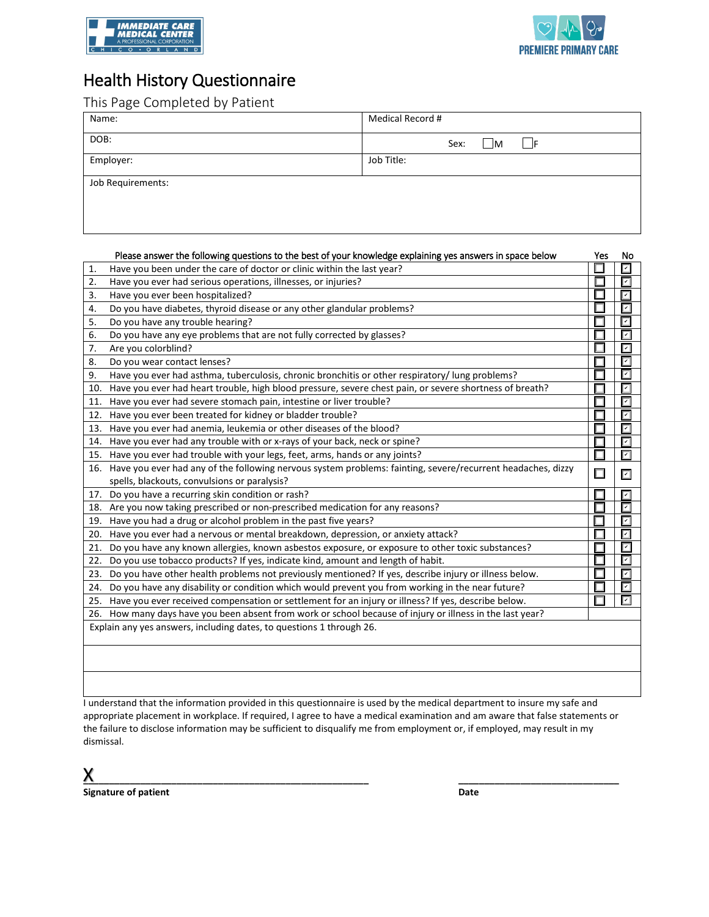



## Health History Questionnaire

This Page Completed by Patient

| Name:             | Medical Record #             |  |  |  |  |
|-------------------|------------------------------|--|--|--|--|
| DOB:              | Sex:<br>$\mathsf{M}$<br>- IF |  |  |  |  |
| Employer:         | Job Title:                   |  |  |  |  |
| Job Requirements: |                              |  |  |  |  |

|              | Please answer the following questions to the best of your knowledge explaining yes answers in space below       | Yes | No                          |
|--------------|-----------------------------------------------------------------------------------------------------------------|-----|-----------------------------|
| $\mathbf{1}$ | Have you been under the care of doctor or clinic within the last year?                                          |     | $\overline{\mathsf{K}}$     |
| 2.           | Have you ever had serious operations, illnesses, or injuries?                                                   |     | $\overline{  \mathbf{v}  }$ |
| 3.           | Have you ever been hospitalized?                                                                                |     | $\overline{ \mathbf{v} }$   |
| 4.           | Do you have diabetes, thyroid disease or any other glandular problems?                                          |     | $\overline{ v }$            |
| 5.           | Do you have any trouble hearing?                                                                                |     | $\overline{\mathbf{r}}$     |
| 6.           | Do you have any eye problems that are not fully corrected by glasses?                                           |     | $\overline{\mathbf{v}}$     |
| 7.           | Are you colorblind?                                                                                             |     | $\overline{\mathcal{M}}$    |
| 8.           | Do you wear contact lenses?                                                                                     |     | $\overline{\mathbf{r}}$     |
| 9.           | Have you ever had asthma, tuberculosis, chronic bronchitis or other respiratory/ lung problems?                 |     | $\overline{\mathbf{r}}$     |
| 10.          | Have you ever had heart trouble, high blood pressure, severe chest pain, or severe shortness of breath?         |     | $\overline{\mathsf{r}}$     |
| 11.          | Have you ever had severe stomach pain, intestine or liver trouble?                                              |     | $\overline{\mathbf{r}}$     |
| 12.          | Have you ever been treated for kidney or bladder trouble?                                                       |     | $\boxed{\mathsf{v}}$        |
| 13.          | Have you ever had anemia, leukemia or other diseases of the blood?                                              |     | $\overline{\mathsf{r}}$     |
| 14.          | Have you ever had any trouble with or x-rays of your back, neck or spine?                                       |     | $\overline{\mathbf{r}}$     |
| 15.          | Have you ever had trouble with your legs, feet, arms, hands or any joints?                                      |     | $\boxed{\mathbf{v}}$        |
|              | 16. Have you ever had any of the following nervous system problems: fainting, severe/recurrent headaches, dizzy | ப   | $\overline{\mathbf{r}}$     |
|              | spells, blackouts, convulsions or paralysis?                                                                    |     |                             |
| 17.          | Do you have a recurring skin condition or rash?                                                                 |     | $\overline{\mathbf{v}}$     |
| 18.          | Are you now taking prescribed or non-prescribed medication for any reasons?                                     |     | ⊽                           |
| 19.          | Have you had a drug or alcohol problem in the past five years?                                                  |     | $\overline{\mathbf{r}}$     |
| 20.          | Have you ever had a nervous or mental breakdown, depression, or anxiety attack?                                 |     | $\overline{\mathbf{r}}$     |
| 21.          | Do you have any known allergies, known asbestos exposure, or exposure to other toxic substances?                |     | ⊡                           |
| 22.          | Do you use tobacco products? If yes, indicate kind, amount and length of habit.                                 |     | $\overline{\mathsf{r}}$     |
| 23.          | Do you have other health problems not previously mentioned? If yes, describe injury or illness below.           |     | $\overline{\mathbf{v}}$     |
| 24.          | Do you have any disability or condition which would prevent you from working in the near future?                |     | $\boxed{\checkmark}$        |
| 25.          | Have you ever received compensation or settlement for an injury or illness? If yes, describe below.             |     | $\overline{\mathbf{v}}$     |
|              | 26. How many days have you been absent from work or school because of injury or illness in the last year?       |     |                             |
|              | Explain any yes answers, including dates, to questions 1 through 26.                                            |     |                             |
|              |                                                                                                                 |     |                             |
|              |                                                                                                                 |     |                             |
|              |                                                                                                                 |     |                             |
|              |                                                                                                                 |     |                             |

I understand that the information provided in this questionnaire is used by the medical department to insure my safe and appropriate placement in workplace. If required, I agree to have a medical examination and am aware that false statements or the failure to disclose information may be sufficient to disqualify me from employment or, if employed, may result in my dismissal.

| the company's company's                                                                                                         |                 |
|---------------------------------------------------------------------------------------------------------------------------------|-----------------|
| والمتحاف المتحاف المتحاف المتحاف المتحاف المتحاف المتحاف المتحاف المتحاف المتحاف المتحاف المتحاف المتحاف المتحافين<br>_________ | _______________ |

**Signature of patient Date Date Date Date**